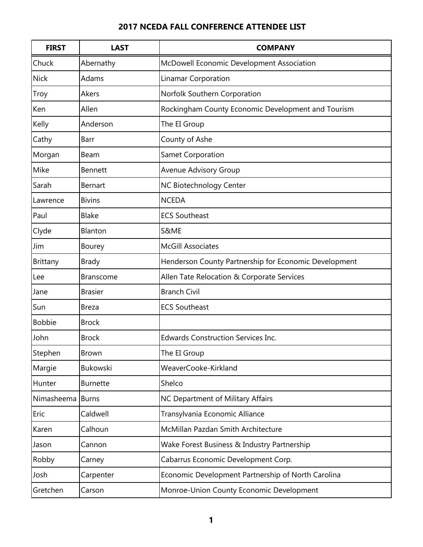| <b>FIRST</b>  | <b>LAST</b>      | <b>COMPANY</b>                                        |
|---------------|------------------|-------------------------------------------------------|
| Chuck         | Abernathy        | McDowell Economic Development Association             |
| <b>Nick</b>   | Adams            | <b>Linamar Corporation</b>                            |
| Troy          | Akers            | Norfolk Southern Corporation                          |
| Ken           | Allen            | Rockingham County Economic Development and Tourism    |
| Kelly         | Anderson         | The EI Group                                          |
| Cathy         | <b>Barr</b>      | County of Ashe                                        |
| Morgan        | Beam             | Samet Corporation                                     |
| Mike          | <b>Bennett</b>   | <b>Avenue Advisory Group</b>                          |
| Sarah         | <b>Bernart</b>   | NC Biotechnology Center                               |
| Lawrence      | <b>Bivins</b>    | <b>NCEDA</b>                                          |
| Paul          | <b>Blake</b>     | <b>ECS Southeast</b>                                  |
| Clyde         | Blanton          | S&ME                                                  |
| Jim           | <b>Bourey</b>    | <b>McGill Associates</b>                              |
| Brittany      | <b>Brady</b>     | Henderson County Partnership for Economic Development |
| Lee           | <b>Branscome</b> | Allen Tate Relocation & Corporate Services            |
| Jane          | <b>Brasier</b>   | <b>Branch Civil</b>                                   |
| Sun           | <b>Breza</b>     | <b>ECS Southeast</b>                                  |
| <b>Bobbie</b> | <b>Brock</b>     |                                                       |
| John          | <b>Brock</b>     | <b>Edwards Construction Services Inc.</b>             |
| Stephen       | Brown            | The EI Group                                          |
| Margie        | <b>Bukowski</b>  | WeaverCooke-Kirkland                                  |
| Hunter        | <b>Burnette</b>  | Shelco                                                |
| Nimasheema    | <b>Burns</b>     | NC Department of Military Affairs                     |
| Eric          | Caldwell         | Transylvania Economic Alliance                        |
| Karen         | Calhoun          | McMillan Pazdan Smith Architecture                    |
| Jason         | Cannon           | Wake Forest Business & Industry Partnership           |
| Robby         | Carney           | Cabarrus Economic Development Corp.                   |
| Josh          | Carpenter        | Economic Development Partnership of North Carolina    |
| Gretchen      | Carson           | Monroe-Union County Economic Development              |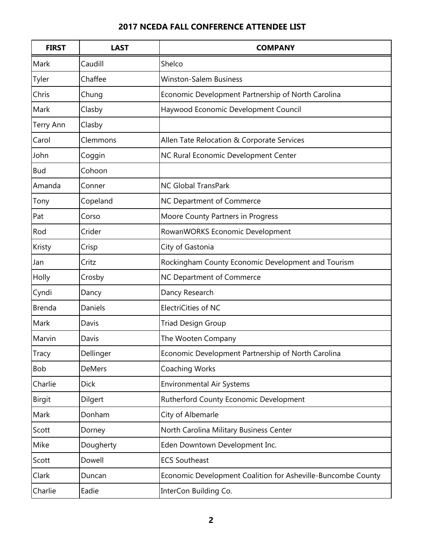| <b>FIRST</b>  | <b>LAST</b>   | <b>COMPANY</b>                                               |
|---------------|---------------|--------------------------------------------------------------|
| Mark          | Caudill       | Shelco                                                       |
| Tyler         | Chaffee       | <b>Winston-Salem Business</b>                                |
| Chris         | Chung         | Economic Development Partnership of North Carolina           |
| Mark          | Clasby        | Haywood Economic Development Council                         |
| Terry Ann     | Clasby        |                                                              |
| Carol         | Clemmons      | Allen Tate Relocation & Corporate Services                   |
| John          | Coggin        | NC Rural Economic Development Center                         |
| <b>Bud</b>    | Cohoon        |                                                              |
| Amanda        | Conner        | <b>NC Global TransPark</b>                                   |
| Tony          | Copeland      | NC Department of Commerce                                    |
| Pat           | Corso         | Moore County Partners in Progress                            |
| Rod           | Crider        | RowanWORKS Economic Development                              |
| Kristy        | Crisp         | City of Gastonia                                             |
| Jan           | Critz         | Rockingham County Economic Development and Tourism           |
| Holly         | Crosby        | NC Department of Commerce                                    |
| Cyndi         | Dancy         | Dancy Research                                               |
| <b>Brenda</b> | Daniels       | <b>ElectriCities of NC</b>                                   |
| Mark          | Davis         | <b>Triad Design Group</b>                                    |
| Marvin        | Davis         | The Wooten Company                                           |
| Tracy         | Dellinger     | Economic Development Partnership of North Carolina           |
| Bob           | <b>DeMers</b> | Coaching Works                                               |
| Charlie       | <b>Dick</b>   | <b>Environmental Air Systems</b>                             |
| Birgit        | Dilgert       | Rutherford County Economic Development                       |
| Mark          | Donham        | City of Albemarle                                            |
| Scott         | Dorney        | North Carolina Military Business Center                      |
| Mike          | Dougherty     | Eden Downtown Development Inc.                               |
| Scott         | Dowell        | <b>ECS Southeast</b>                                         |
| Clark         | Duncan        | Economic Development Coalition for Asheville-Buncombe County |
| Charlie       | Eadie         | InterCon Building Co.                                        |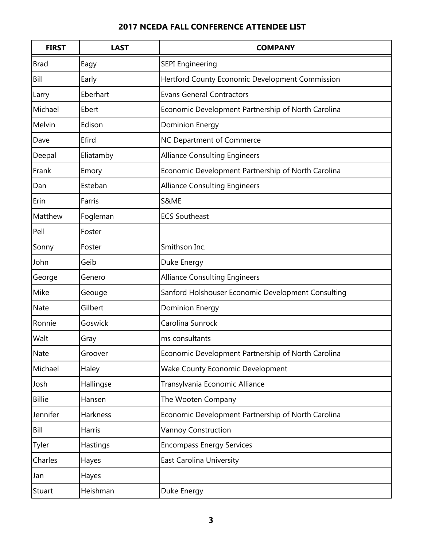| <b>FIRST</b>  | <b>LAST</b>   | <b>COMPANY</b>                                     |
|---------------|---------------|----------------------------------------------------|
| <b>Brad</b>   | Eagy          | <b>SEPI Engineering</b>                            |
| Bill          | Early         | Hertford County Economic Development Commission    |
| Larry         | Eberhart      | <b>Evans General Contractors</b>                   |
| Michael       | Ebert         | Economic Development Partnership of North Carolina |
| Melvin        | Edison        | <b>Dominion Energy</b>                             |
| Dave          | Efird         | NC Department of Commerce                          |
| Deepal        | Eliatamby     | <b>Alliance Consulting Engineers</b>               |
| Frank         | Emory         | Economic Development Partnership of North Carolina |
| Dan           | Esteban       | <b>Alliance Consulting Engineers</b>               |
| Erin          | Farris        | S&ME                                               |
| Matthew       | Fogleman      | <b>ECS Southeast</b>                               |
| Pell          | Foster        |                                                    |
| Sonny         | Foster        | Smithson Inc.                                      |
| John          | Geib          | Duke Energy                                        |
| George        | Genero        | <b>Alliance Consulting Engineers</b>               |
| Mike          | Geouge        | Sanford Holshouser Economic Development Consulting |
| <b>Nate</b>   | Gilbert       | <b>Dominion Energy</b>                             |
| Ronnie        | Goswick       | Carolina Sunrock                                   |
| Walt          | Gray          | ms consultants                                     |
| <b>Nate</b>   | Groover       | Economic Development Partnership of North Carolina |
| Michael       | Haley         | Wake County Economic Development                   |
| Josh          | Hallingse     | Transylvania Economic Alliance                     |
| <b>Billie</b> | Hansen        | The Wooten Company                                 |
| Jennifer      | Harkness      | Economic Development Partnership of North Carolina |
| Bill          | <b>Harris</b> | <b>Vannoy Construction</b>                         |
| Tyler         | Hastings      | <b>Encompass Energy Services</b>                   |
| Charles       | Hayes         | <b>East Carolina University</b>                    |
| Jan           | Hayes         |                                                    |
| Stuart        | Heishman      | Duke Energy                                        |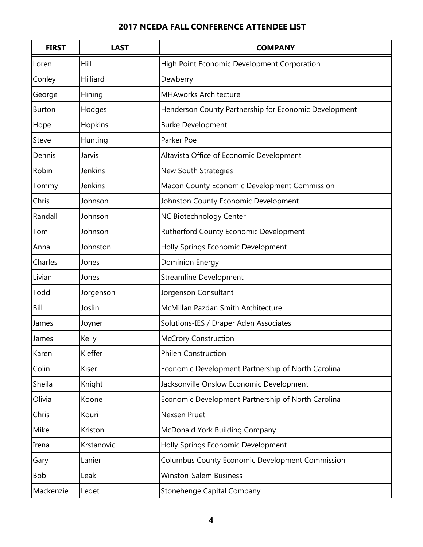| <b>FIRST</b>  | <b>LAST</b> | <b>COMPANY</b>                                        |
|---------------|-------------|-------------------------------------------------------|
| Loren         | Hill        | High Point Economic Development Corporation           |
| Conley        | Hilliard    | Dewberry                                              |
| George        | Hining      | <b>MHAworks Architecture</b>                          |
| <b>Burton</b> | Hodges      | Henderson County Partnership for Economic Development |
| Hope          | Hopkins     | <b>Burke Development</b>                              |
| Steve         | Hunting     | Parker Poe                                            |
| Dennis        | Jarvis      | Altavista Office of Economic Development              |
| Robin         | Jenkins     | <b>New South Strategies</b>                           |
| Tommy         | Jenkins     | Macon County Economic Development Commission          |
| Chris         | Johnson     | Johnston County Economic Development                  |
| Randall       | Johnson     | NC Biotechnology Center                               |
| Tom           | Johnson     | Rutherford County Economic Development                |
| Anna          | Johnston    | Holly Springs Economic Development                    |
| Charles       | Jones       | <b>Dominion Energy</b>                                |
| Livian        | Jones       | <b>Streamline Development</b>                         |
| Todd          | Jorgenson   | Jorgenson Consultant                                  |
| Bill          | Joslin      | McMillan Pazdan Smith Architecture                    |
| James         | Joyner      | Solutions-IES / Draper Aden Associates                |
| James         | Kelly       | <b>McCrory Construction</b>                           |
| Karen         | Kieffer     | <b>Philen Construction</b>                            |
| Colin         | Kiser       | Economic Development Partnership of North Carolina    |
| Sheila        | Knight      | Jacksonville Onslow Economic Development              |
| Olivia        | Koone       | Economic Development Partnership of North Carolina    |
| Chris         | Kouri       | Nexsen Pruet                                          |
| Mike          | Kriston     | McDonald York Building Company                        |
| Irena         | Krstanovic  | Holly Springs Economic Development                    |
| Gary          | Lanier      | Columbus County Economic Development Commission       |
| Bob           | Leak        | <b>Winston-Salem Business</b>                         |
| Mackenzie     | Ledet       | <b>Stonehenge Capital Company</b>                     |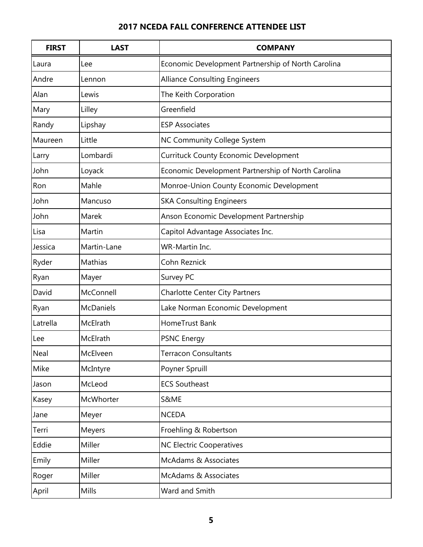| <b>FIRST</b> | <b>LAST</b> | <b>COMPANY</b>                                     |
|--------------|-------------|----------------------------------------------------|
| Laura        | Lee         | Economic Development Partnership of North Carolina |
| Andre        | Lennon      | <b>Alliance Consulting Engineers</b>               |
| Alan         | Lewis       | The Keith Corporation                              |
| Mary         | Lilley      | Greenfield                                         |
| Randy        | Lipshay     | <b>ESP Associates</b>                              |
| Maureen      | Little      | <b>NC Community College System</b>                 |
| Larry        | Lombardi    | <b>Currituck County Economic Development</b>       |
| John         | Loyack      | Economic Development Partnership of North Carolina |
| Ron          | Mahle       | Monroe-Union County Economic Development           |
| John         | Mancuso     | <b>SKA Consulting Engineers</b>                    |
| John         | Marek       | Anson Economic Development Partnership             |
| Lisa         | Martin      | Capitol Advantage Associates Inc.                  |
| Jessica      | Martin-Lane | WR-Martin Inc.                                     |
| Ryder        | Mathias     | Cohn Reznick                                       |
| Ryan         | Mayer       | Survey PC                                          |
| David        | McConnell   | <b>Charlotte Center City Partners</b>              |
| Ryan         | McDaniels   | Lake Norman Economic Development                   |
| Latrella     | McElrath    | HomeTrust Bank                                     |
| Lee          | McElrath    | <b>PSNC Energy</b>                                 |
| Neal         | McElveen    | <b>Terracon Consultants</b>                        |
| Mike         | McIntyre    | Poyner Spruill                                     |
| Jason        | McLeod      | <b>ECS Southeast</b>                               |
| Kasey        | McWhorter   | S&ME                                               |
| Jane         | Meyer       | <b>NCEDA</b>                                       |
| Terri        | Meyers      | Froehling & Robertson                              |
| Eddie        | Miller      | <b>NC Electric Cooperatives</b>                    |
| Emily        | Miller      | McAdams & Associates                               |
| Roger        | Miller      | McAdams & Associates                               |
| April        | Mills       | Ward and Smith                                     |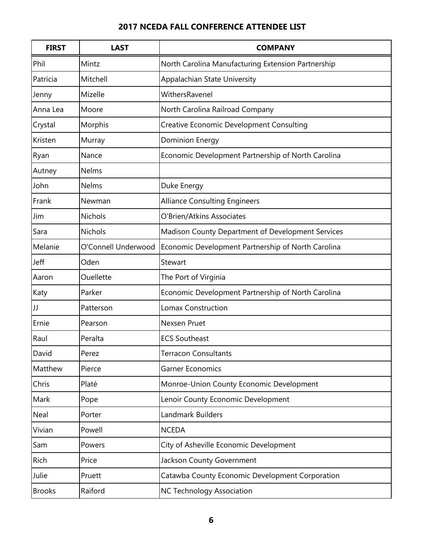| <b>FIRST</b>  | <b>LAST</b>         | <b>COMPANY</b>                                     |
|---------------|---------------------|----------------------------------------------------|
| Phil          | Mintz               | North Carolina Manufacturing Extension Partnership |
| Patricia      | Mitchell            | Appalachian State University                       |
| Jenny         | Mizelle             | WithersRavenel                                     |
| Anna Lea      | Moore               | North Carolina Railroad Company                    |
| Crystal       | Morphis             | <b>Creative Economic Development Consulting</b>    |
| Kristen       | Murray              | <b>Dominion Energy</b>                             |
| Ryan          | Nance               | Economic Development Partnership of North Carolina |
| Autney        | Nelms               |                                                    |
| John          | Nelms               | Duke Energy                                        |
| Frank         | Newman              | <b>Alliance Consulting Engineers</b>               |
| Jim           | Nichols             | O'Brien/Atkins Associates                          |
| Sara          | Nichols             | Madison County Department of Development Services  |
| Melanie       | O'Connell Underwood | Economic Development Partnership of North Carolina |
| Jeff          | Oden                | Stewart                                            |
| Aaron         | Ouellette           | The Port of Virginia                               |
| Katy          | Parker              | Economic Development Partnership of North Carolina |
| JJ            | Patterson           | <b>Lomax Construction</b>                          |
| Ernie         | Pearson             | Nexsen Pruet                                       |
| Raul          | Peralta             | <b>ECS Southeast</b>                               |
| David         | Perez               | <b>Terracon Consultants</b>                        |
| Matthew       | Pierce              | <b>Garner Economics</b>                            |
| Chris         | Platé               | Monroe-Union County Economic Development           |
| Mark          | Pope                | Lenoir County Economic Development                 |
| Neal          | Porter              | Landmark Builders                                  |
| Vivian        | Powell              | <b>NCEDA</b>                                       |
| Sam           | Powers              | City of Asheville Economic Development             |
| Rich          | Price               | Jackson County Government                          |
| Julie         | Pruett              | Catawba County Economic Development Corporation    |
| <b>Brooks</b> | Raiford             | <b>NC Technology Association</b>                   |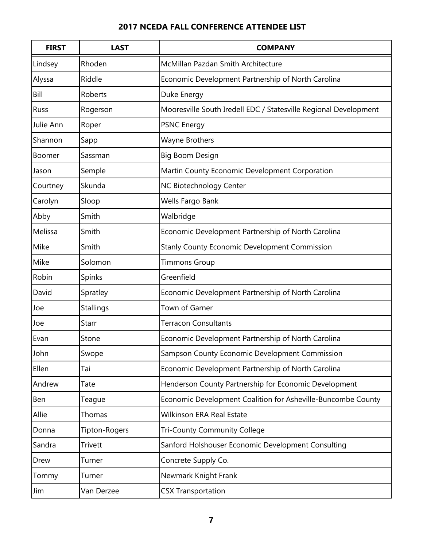| <b>FIRST</b>  | <b>LAST</b>      | <b>COMPANY</b>                                                   |
|---------------|------------------|------------------------------------------------------------------|
| Lindsey       | Rhoden           | McMillan Pazdan Smith Architecture                               |
| Alyssa        | Riddle           | Economic Development Partnership of North Carolina               |
| Bill          | Roberts          | Duke Energy                                                      |
| Russ          | Rogerson         | Mooresville South Iredell EDC / Statesville Regional Development |
| Julie Ann     | Roper            | <b>PSNC Energy</b>                                               |
| Shannon       | Sapp             | Wayne Brothers                                                   |
| <b>Boomer</b> | Sassman          | Big Boom Design                                                  |
| Jason         | Semple           | Martin County Economic Development Corporation                   |
| Courtney      | Skunda           | NC Biotechnology Center                                          |
| Carolyn       | Sloop            | Wells Fargo Bank                                                 |
| Abby          | Smith            | Walbridge                                                        |
| Melissa       | Smith            | Economic Development Partnership of North Carolina               |
| Mike          | Smith            | <b>Stanly County Economic Development Commission</b>             |
| Mike          | Solomon          | <b>Timmons Group</b>                                             |
| Robin         | Spinks           | Greenfield                                                       |
| David         | Spratley         | Economic Development Partnership of North Carolina               |
| Joe           | <b>Stallings</b> | Town of Garner                                                   |
| Joe           | Starr            | <b>Terracon Consultants</b>                                      |
| Evan          | Stone            | Economic Development Partnership of North Carolina               |
| John          | Swope            | Sampson County Economic Development Commission                   |
| Ellen         | Tai              | Economic Development Partnership of North Carolina               |
| Andrew        | Tate             | Henderson County Partnership for Economic Development            |
| Ben           | Teague           | Economic Development Coalition for Asheville-Buncombe County     |
| Allie         | Thomas           | Wilkinson ERA Real Estate                                        |
| Donna         | Tipton-Rogers    | <b>Tri-County Community College</b>                              |
| Sandra        | Trivett          | Sanford Holshouser Economic Development Consulting               |
| Drew          | Turner           | Concrete Supply Co.                                              |
| Tommy         | Turner           | Newmark Knight Frank                                             |
| Jim           | Van Derzee       | <b>CSX Transportation</b>                                        |